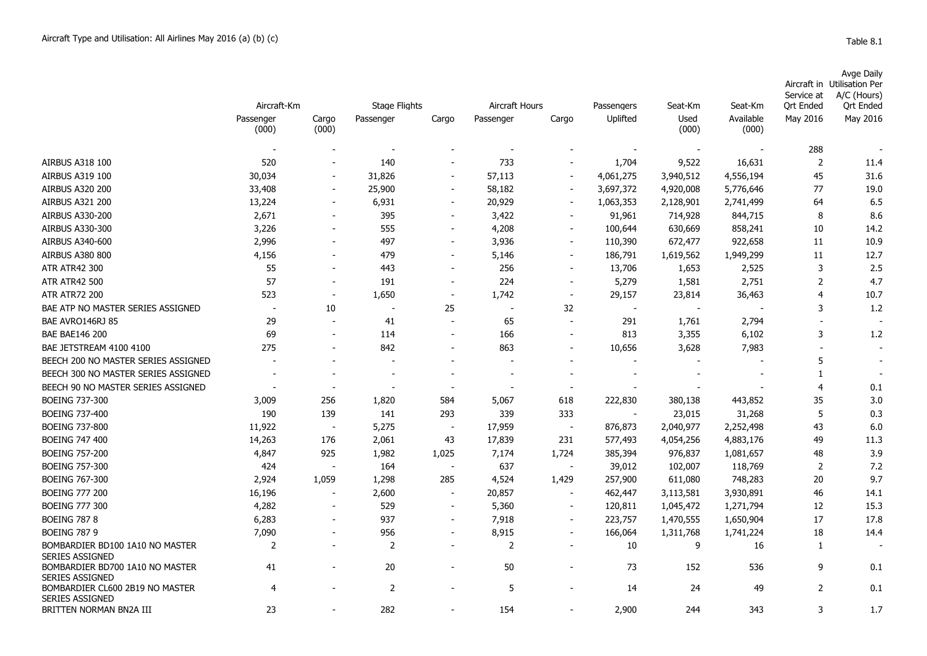| able<br>Ω |
|-----------|
|-----------|

|                                                           | Aircraft-Km              |                          | <b>Stage Flights</b>     |                          | Aircraft Hours           |                          | Passengers               | Seat-Km        | Seat-Km                  | Service at<br>Ort Ended | Avge Daily<br>Aircraft in Utilisation Per<br>A/C (Hours)<br>Ort Ended |
|-----------------------------------------------------------|--------------------------|--------------------------|--------------------------|--------------------------|--------------------------|--------------------------|--------------------------|----------------|--------------------------|-------------------------|-----------------------------------------------------------------------|
|                                                           | Passenger<br>(000)       | Cargo<br>(000)           | Passenger                | Cargo                    | Passenger                | Cargo                    | Uplifted                 | Used<br>(000)  | Available<br>(000)       | May 2016                | May 2016                                                              |
|                                                           |                          |                          |                          |                          |                          |                          |                          |                |                          |                         |                                                                       |
|                                                           |                          |                          |                          |                          |                          |                          |                          |                |                          | 288                     |                                                                       |
| <b>AIRBUS A318 100</b>                                    | 520                      |                          | 140                      |                          | 733                      |                          | 1,704                    | 9,522          | 16,631                   | $\overline{2}$          | 11.4                                                                  |
| AIRBUS A319 100                                           | 30,034                   | $\blacksquare$           | 31,826                   | $\blacksquare$           | 57,113                   |                          | 4,061,275                | 3,940,512      | 4,556,194                | 45                      | 31.6                                                                  |
| <b>AIRBUS A320 200</b>                                    | 33,408                   | $\overline{\phantom{a}}$ | 25,900                   | $\overline{\phantom{a}}$ | 58,182                   | $\overline{\phantom{a}}$ | 3,697,372                | 4,920,008      | 5,776,646                | 77                      | 19.0                                                                  |
| <b>AIRBUS A321 200</b>                                    | 13,224                   | $\overline{\phantom{a}}$ | 6,931                    | $\overline{\phantom{a}}$ | 20,929                   | $\overline{\phantom{a}}$ | 1,063,353                | 2,128,901      | 2,741,499                | 64                      | 6.5                                                                   |
| <b>AIRBUS A330-200</b>                                    | 2,671                    |                          | 395                      | $\overline{\phantom{a}}$ | 3,422                    | $\overline{\phantom{a}}$ | 91,961                   | 714,928        | 844,715                  | 8                       | 8.6                                                                   |
| <b>AIRBUS A330-300</b>                                    | 3,226                    |                          | 555                      | $\overline{\phantom{a}}$ | 4,208                    | $\overline{\phantom{a}}$ | 100,644                  | 630,669        | 858,241                  | 10                      | 14.2                                                                  |
| <b>AIRBUS A340-600</b>                                    | 2,996                    | $\overline{\phantom{a}}$ | 497                      | $\overline{\phantom{a}}$ | 3,936                    | $\overline{\phantom{a}}$ | 110,390                  | 672,477        | 922,658                  | 11                      | 10.9                                                                  |
| <b>AIRBUS A380 800</b>                                    | 4,156                    | $\overline{\phantom{a}}$ | 479                      | $\blacksquare$           | 5,146                    | $\sim$                   | 186,791                  | 1,619,562      | 1,949,299                | 11                      | 12.7                                                                  |
| <b>ATR ATR42 300</b>                                      | 55                       | $\sim$                   | 443                      | $\sim$                   | 256                      | $\sim$                   | 13,706                   | 1,653          | 2,525                    | 3                       | 2.5                                                                   |
| <b>ATR ATR42 500</b>                                      | 57                       | $\overline{\phantom{a}}$ | 191                      | $\overline{\phantom{a}}$ | 224                      | $\overline{\phantom{a}}$ | 5,279                    | 1,581          | 2,751                    | $\overline{2}$          | 4.7                                                                   |
| <b>ATR ATR72 200</b>                                      | 523                      | $\blacksquare$           | 1,650                    | $\overline{\phantom{a}}$ | 1,742                    | $\overline{\phantom{a}}$ | 29,157                   | 23,814         | 36,463                   | $\overline{4}$          | 10.7                                                                  |
| BAE ATP NO MASTER SERIES ASSIGNED                         | $\overline{\phantom{a}}$ | 10                       | $\overline{\phantom{a}}$ | 25                       |                          | 32                       | $\overline{\phantom{a}}$ | $\blacksquare$ |                          | 3                       | 1.2                                                                   |
| BAE AVRO146RJ 85                                          | 29                       | $\sim$                   | 41                       | $\blacksquare$           | 65                       | $\sim$                   | 291                      | 1,761          | 2,794                    | $\overline{a}$          |                                                                       |
| <b>BAE BAE146 200</b>                                     | 69                       |                          | 114                      | $\sim$                   | 166                      |                          | 813                      | 3,355          | 6,102                    | 3                       | 1.2                                                                   |
| BAE JETSTREAM 4100 4100                                   | 275                      |                          | 842                      |                          | 863                      |                          | 10,656                   | 3,628          | 7,983                    | $\overline{a}$          |                                                                       |
| BEECH 200 NO MASTER SERIES ASSIGNED                       |                          |                          |                          |                          |                          |                          |                          |                |                          | 5                       |                                                                       |
| BEECH 300 NO MASTER SERIES ASSIGNED                       | $\overline{\phantom{a}}$ |                          | $\overline{\phantom{a}}$ | $\overline{\phantom{a}}$ | $\overline{\phantom{a}}$ |                          | $\overline{\phantom{a}}$ |                | $\overline{\phantom{a}}$ | 1                       |                                                                       |
| BEECH 90 NO MASTER SERIES ASSIGNED                        |                          |                          |                          | $\overline{\phantom{a}}$ |                          | $\overline{\phantom{a}}$ |                          |                |                          | 4                       | 0.1                                                                   |
| <b>BOEING 737-300</b>                                     | 3,009                    | 256                      | 1,820                    | 584                      | 5,067                    | 618                      | 222,830                  | 380,138        | 443,852                  | 35                      | 3.0                                                                   |
| <b>BOEING 737-400</b>                                     | 190                      | 139                      | 141                      | 293                      | 339                      | 333                      |                          | 23,015         | 31,268                   | 5                       | 0.3                                                                   |
| <b>BOEING 737-800</b>                                     | 11,922                   |                          | 5,275                    | $\overline{\phantom{a}}$ | 17,959                   | $\overline{\phantom{a}}$ | 876,873                  | 2,040,977      | 2,252,498                | 43                      | 6.0                                                                   |
| <b>BOEING 747 400</b>                                     | 14,263                   | 176                      | 2,061                    | 43                       | 17,839                   | 231                      | 577,493                  | 4,054,256      | 4,883,176                | 49                      | 11.3                                                                  |
| <b>BOEING 757-200</b>                                     | 4,847                    | 925                      | 1,982                    | 1,025                    | 7,174                    | 1,724                    | 385,394                  | 976,837        | 1,081,657                | 48                      | 3.9                                                                   |
| <b>BOEING 757-300</b>                                     | 424                      |                          | 164                      | $\overline{\phantom{a}}$ | 637                      | $\overline{\phantom{a}}$ | 39,012                   | 102,007        | 118,769                  | $\overline{2}$          | 7.2                                                                   |
| <b>BOEING 767-300</b>                                     | 2,924                    | 1,059                    | 1,298                    | 285                      | 4,524                    | 1,429                    | 257,900                  | 611,080        | 748,283                  | 20                      | 9.7                                                                   |
| <b>BOEING 777 200</b>                                     | 16,196                   |                          | 2,600                    | $\overline{\phantom{a}}$ | 20,857                   |                          | 462,447                  | 3,113,581      | 3,930,891                | 46                      | 14.1                                                                  |
| <b>BOEING 777 300</b>                                     | 4,282                    | $\blacksquare$           | 529                      | $\sim$                   | 5,360                    | $\blacksquare$           | 120,811                  | 1,045,472      | 1,271,794                | 12                      | 15.3                                                                  |
| <b>BOEING 787 8</b>                                       | 6,283                    | $\overline{\phantom{a}}$ | 937                      | $\overline{\phantom{a}}$ | 7,918                    | $\overline{\phantom{a}}$ | 223,757                  | 1,470,555      | 1,650,904                | 17                      | 17.8                                                                  |
| <b>BOEING 787 9</b>                                       | 7,090                    | $\overline{\phantom{a}}$ | 956                      | $\overline{\phantom{a}}$ | 8,915                    | $\overline{\phantom{a}}$ | 166,064                  | 1,311,768      | 1,741,224                | 18                      | 14.4                                                                  |
| BOMBARDIER BD100 1A10 NO MASTER<br><b>SERIES ASSIGNED</b> | 2                        |                          | 2                        | $\overline{\phantom{a}}$ | 2                        |                          | 10                       | 9              | 16                       | 1                       |                                                                       |
| BOMBARDIER BD700 1A10 NO MASTER<br><b>SERIES ASSIGNED</b> | 41                       |                          | 20                       |                          | 50                       |                          | 73                       | 152            | 536                      | 9                       | 0.1                                                                   |
| BOMBARDIER CL600 2B19 NO MASTER<br><b>SERIES ASSIGNED</b> | $\overline{4}$           |                          | 2                        |                          | 5                        |                          | 14                       | 24             | 49                       | 2                       | 0.1                                                                   |
| BRITTEN NORMAN BN2A III                                   | 23                       |                          | 282                      |                          | 154                      |                          | 2,900                    | 244            | 343                      | 3                       | 1.7                                                                   |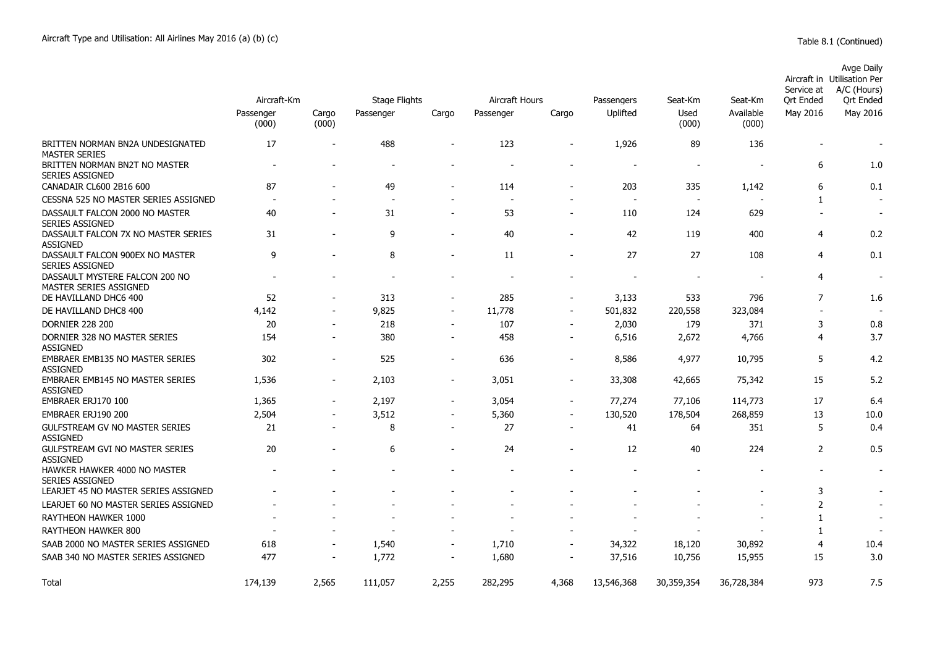|                                                           | Aircraft-Km              |                              | Stage Flights            |                          | Aircraft Hours           |                          |                          | Seat-Km                  | Seat-Km            | Service at<br>Ort Ended | Avge Daily<br>Aircraft in Utilisation Per<br>A/C (Hours)<br>Ort Ended |
|-----------------------------------------------------------|--------------------------|------------------------------|--------------------------|--------------------------|--------------------------|--------------------------|--------------------------|--------------------------|--------------------|-------------------------|-----------------------------------------------------------------------|
|                                                           | Passenger<br>(000)       | Cargo<br>(000)               | Passenger                | Cargo                    | Passenger                | Cargo                    | Passengers<br>Uplifted   | Used<br>(000)            | Available<br>(000) | May 2016                | May 2016                                                              |
| BRITTEN NORMAN BN2A UNDESIGNATED<br><b>MASTER SERIES</b>  | 17                       |                              | 488                      | $\overline{\phantom{a}}$ | 123                      | $\overline{\phantom{a}}$ | 1,926                    | 89                       | 136                |                         | $\overline{\phantom{a}}$                                              |
| BRITTEN NORMAN BN2T NO MASTER<br><b>SERIES ASSIGNED</b>   | $\overline{\phantom{a}}$ | $\qquad \qquad \blacksquare$ | $\overline{\phantom{a}}$ | $\overline{a}$           | $\overline{\phantom{a}}$ |                          | $\overline{\phantom{a}}$ | $\overline{\phantom{a}}$ |                    | 6                       | 1.0                                                                   |
| CANADAIR CL600 2B16 600                                   | 87                       | $\sim$                       | 49                       | $\overline{\phantom{a}}$ | 114                      | $\overline{\phantom{a}}$ | 203                      | 335                      | 1,142              | 6                       | 0.1                                                                   |
| CESSNA 525 NO MASTER SERIES ASSIGNED                      | $\overline{\phantom{a}}$ |                              | $\overline{\phantom{a}}$ |                          | $\overline{\phantom{a}}$ | $\overline{\phantom{0}}$ | $\overline{a}$           |                          |                    | 1                       |                                                                       |
| DASSAULT FALCON 2000 NO MASTER<br><b>SERIES ASSIGNED</b>  | 40                       | $\overline{\phantom{a}}$     | 31                       | $\blacksquare$           | 53                       | $\overline{\phantom{a}}$ | 110                      | 124                      | 629                |                         | $\overline{\phantom{a}}$                                              |
| DASSAULT FALCON 7X NO MASTER SERIES<br><b>ASSIGNED</b>    | 31                       | $\overline{\phantom{a}}$     | 9                        | $\blacksquare$           | 40                       | $\blacksquare$           | 42                       | 119                      | 400                | 4                       | 0.2                                                                   |
| DASSAULT FALCON 900EX NO MASTER<br><b>SERIES ASSIGNED</b> | 9                        |                              | 8                        | $\overline{a}$           | 11                       | $\overline{\phantom{0}}$ | 27                       | 27                       | 108                | $\overline{4}$          | 0.1                                                                   |
| DASSAULT MYSTERE FALCON 200 NO<br>MASTER SERIES ASSIGNED  | $\overline{\phantom{a}}$ |                              |                          |                          |                          |                          |                          |                          |                    | $\overline{4}$          | $\blacksquare$                                                        |
| DE HAVILLAND DHC6 400                                     | 52                       |                              | 313                      | $\overline{a}$           | 285                      | $\overline{\phantom{a}}$ | 3,133                    | 533                      | 796                | $\overline{7}$          | 1.6                                                                   |
| DE HAVILLAND DHC8 400                                     | 4,142                    | $\blacksquare$               | 9,825                    | $\overline{\phantom{a}}$ | 11,778                   | $\blacksquare$           | 501,832                  | 220,558                  | 323,084            |                         |                                                                       |
| <b>DORNIER 228 200</b>                                    | 20                       | $\overline{\phantom{a}}$     | 218                      | $\overline{\phantom{a}}$ | 107                      | $\overline{\phantom{a}}$ | 2,030                    | 179                      | 371                | 3                       | 0.8                                                                   |
| DORNIER 328 NO MASTER SERIES<br><b>ASSIGNED</b>           | 154                      | $\overline{\phantom{a}}$     | 380                      | $\overline{\phantom{a}}$ | 458                      | $\overline{\phantom{a}}$ | 6,516                    | 2,672                    | 4,766              | 4                       | 3.7                                                                   |
| EMBRAER EMB135 NO MASTER SERIES<br><b>ASSIGNED</b>        | 302                      | $\overline{\phantom{a}}$     | 525                      | $\overline{a}$           | 636                      |                          | 8,586                    | 4,977                    | 10,795             | 5                       | 4.2                                                                   |
| <b>EMBRAER EMB145 NO MASTER SERIES</b><br><b>ASSIGNED</b> | 1,536                    | $\blacksquare$               | 2,103                    | $\overline{\phantom{a}}$ | 3,051                    | $\overline{\phantom{a}}$ | 33,308                   | 42,665                   | 75,342             | 15                      | 5.2                                                                   |
| EMBRAER ERJ170 100                                        | 1,365                    | $\overline{\phantom{a}}$     | 2,197                    | $\overline{\phantom{a}}$ | 3,054                    | $\overline{\phantom{a}}$ | 77,274                   | 77,106                   | 114,773            | 17                      | 6.4                                                                   |
| EMBRAER ERJ190 200                                        | 2,504                    |                              | 3,512                    | $\overline{a}$           | 5,360                    | $\overline{\phantom{a}}$ | 130,520                  | 178,504                  | 268,859            | 13                      | 10.0                                                                  |
| <b>GULFSTREAM GV NO MASTER SERIES</b><br><b>ASSIGNED</b>  | 21                       | $\blacksquare$               | 8                        | $\blacksquare$           | 27                       | $\overline{\phantom{a}}$ | 41                       | 64                       | 351                | 5                       | 0.4                                                                   |
| GULFSTREAM GVI NO MASTER SERIES<br><b>ASSIGNED</b>        | 20                       |                              | 6                        | $\overline{a}$           | 24                       |                          | 12                       | 40                       | 224                | $\overline{2}$          | 0.5                                                                   |
| HAWKER HAWKER 4000 NO MASTER<br><b>SERIES ASSIGNED</b>    |                          |                              |                          |                          |                          |                          |                          |                          |                    |                         |                                                                       |
| LEARJET 45 NO MASTER SERIES ASSIGNED                      |                          |                              |                          |                          |                          |                          |                          |                          |                    | 3                       |                                                                       |
| LEARJET 60 NO MASTER SERIES ASSIGNED                      |                          |                              |                          |                          |                          |                          |                          |                          |                    | $\overline{2}$          |                                                                       |
| RAYTHEON HAWKER 1000                                      |                          |                              |                          |                          |                          |                          |                          |                          |                    | 1                       |                                                                       |
| RAYTHEON HAWKER 800                                       |                          |                              |                          |                          |                          |                          |                          |                          |                    | 1                       |                                                                       |
| SAAB 2000 NO MASTER SERIES ASSIGNED                       | 618                      | $\overline{\phantom{a}}$     | 1,540                    | $\overline{\phantom{a}}$ | 1,710                    | $\overline{\phantom{a}}$ | 34,322                   | 18,120                   | 30,892             | $\overline{4}$          | 10.4                                                                  |
| SAAB 340 NO MASTER SERIES ASSIGNED                        | 477                      |                              | 1,772                    | $\blacksquare$           | 1,680                    |                          | 37,516                   | 10,756                   | 15,955             | 15                      | 3.0                                                                   |
| Total                                                     | 174,139                  | 2,565                        | 111,057                  | 2,255                    | 282,295                  | 4,368                    | 13,546,368               | 30,359,354               | 36,728,384         | 973                     | 7.5                                                                   |